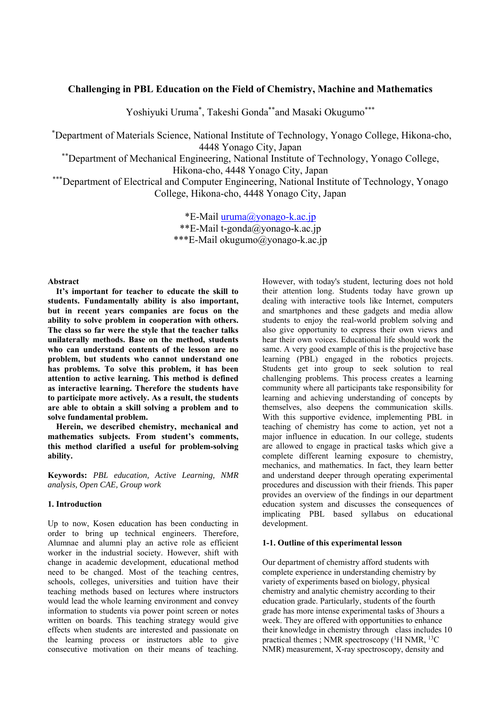# **Challenging in PBL Education on the Field of Chemistry, Machine and Mathematics**

Yoshiyuki Uruma\*, Takeshi Gonda\*\*and Masaki Okugumo\*\*\*

\* Department of Materials Science, National Institute of Technology, Yonago College, Hikona-cho, 4448 Yonago City, Japan<br>
\*\*Department of Mechanical Engineering, National Institute of Technology, Yonago College,

Hikona-cho, 4448 Yonago City, Japan<br>\*\*\*Department of Electrical and Computer Engineering, National Institute of Technology, Yonago\* College, Hikona-cho, 4448 Yonago City, Japan

> \*E-Mail uruma@yonago-k.ac.jp \*\*E-Mail t-gonda@yonago-k.ac.jp \*\*\*E-Mail okugumo@yonago-k.ac.jp

### **Abstract**

**It's important for teacher to educate the skill to students. Fundamentally ability is also important, but in recent years companies are focus on the ability to solve problem in cooperation with others. The class so far were the style that the teacher talks unilaterally methods. Base on the method, students who can understand contents of the lesson are no problem, but students who cannot understand one has problems. To solve this problem, it has been attention to active learning. This method is defined as interactive learning. Therefore the students have to participate more actively. As a result, the students are able to obtain a skill solving a problem and to solve fundamental problem.** 

**Herein, we described chemistry, mechanical and mathematics subjects. From student's comments, this method clarified a useful for problem-solving ability.** 

**Keywords:** *PBL education, Active Learning, NMR analysis, Open CAE, Group work* 

## **1. Introduction**

Up to now, Kosen education has been conducting in order to bring up technical engineers. Therefore, Alumnae and alumni play an active role as efficient worker in the industrial society. However, shift with change in academic development, educational method need to be changed. Most of the teaching centres, schools, colleges, universities and tuition have their teaching methods based on lectures where instructors would lead the whole learning environment and convey information to students via power point screen or notes written on boards. This teaching strategy would give effects when students are interested and passionate on the learning process or instructors able to give consecutive motivation on their means of teaching. However, with today's student, lecturing does not hold their attention long. Students today have grown up dealing with interactive tools like Internet, computers and smartphones and these gadgets and media allow students to enjoy the real-world problem solving and also give opportunity to express their own views and hear their own voices. Educational life should work the same. A very good example of this is the projective base learning (PBL) engaged in the robotics projects. Students get into group to seek solution to real challenging problems. This process creates a learning community where all participants take responsibility for learning and achieving understanding of concepts by themselves, also deepens the communication skills. With this supportive evidence, implementing PBL in teaching of chemistry has come to action, yet not a major influence in education. In our college, students are allowed to engage in practical tasks which give a complete different learning exposure to chemistry, mechanics, and mathematics. In fact, they learn better and understand deeper through operating experimental procedures and discussion with their friends. This paper provides an overview of the findings in our department education system and discusses the consequences of implicating PBL based syllabus on educational development.

### **1-1. Outline of this experimental lesson**

Our department of chemistry afford students with complete experience in understanding chemistry by variety of experiments based on biology, physical chemistry and analytic chemistry according to their education grade. Particularly, students of the fourth grade has more intense experimental tasks of 3hours a week. They are offered with opportunities to enhance their knowledge in chemistry through class includes 10 practical themes ; NMR spectroscopy  $(^1H$  NMR,  $^{13}C$ NMR) measurement, X-ray spectroscopy, density and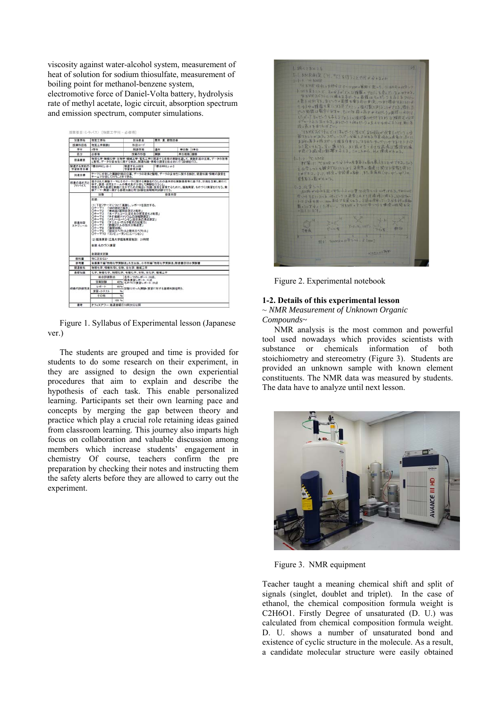viscosity against water-alcohol system, measurement of heat of solution for sodium thiosulfate, measurement of boiling point for methanol-benzene system, electromotive force of Daniel-Volta battery, hydrolysis rate of methyl acetate, logic circuit, absorption spectrum and emission spectrum, computer simulations.

| 2122.34           | 物質工学科                                                                                                                                                                                                                                                   |               | 拟当教具                          | 青木 東、野関巾奉 |         |  |  |
|-------------------|---------------------------------------------------------------------------------------------------------------------------------------------------------------------------------------------------------------------------------------------------------|---------------|-------------------------------|-----------|---------|--|--|
| 授業科目名             | 物質工学実験I                                                                                                                                                                                                                                                 |               | $8183 - 1$                    |           |         |  |  |
| 学年                | 478.90                                                                                                                                                                                                                                                  |               | 開講学期                          | 通用        | 单位数 1集位 |  |  |
| 医分                | 必修得                                                                                                                                                                                                                                                     |               | 授業の形態                         | 実録        | 单位接链 護修 |  |  |
| 授業機要              | 物理化学・無機化学・生物学・機械工学・電気工学に関連する各種の実験を通して、実験計画の立案、データの取得<br>と整理、データの妥当性に関する検討、関連知識・情報の調査を総合的に行う訓練を行う。                                                                                                                                                       |               |                               |           |         |  |  |
| 関連する木粒の<br>学習教育日報 | 「提会PRG」: B-1<br>関連するJABEE<br>「提合PRG」:d-2<br>学習教育日標                                                                                                                                                                                                      |               |                               |           |         |  |  |
| 新連日標              | テーマに介数した実験計画の立実、データの政得と整理、データの妥当性に関する検討、関連知識・情報の調査を<br>チームで分明して行うことができる。                                                                                                                                                                                |               |                               |           |         |  |  |
| 授業の進め方と<br>アドバイス  | 提示された実験テーマとそのテーマに関する実験を行うための基本的な実験器具等に基づき、計画を立案し実行に<br>移す。調査・研究をチームの構成員が分担して実験を行うこと。<br>物質工学の基礎を実践に生かすための幅広い知識・技術を習得するために、臨海実習、ものづくり実習を行なう。実<br>独テーマ·実習に関する基礎知識を問う試験を後期期末試験で行う。                                                                         |               |                               |           |         |  |  |
|                   | 固数                                                                                                                                                                                                                                                      |               |                               |           | 授業内容    |  |  |
|                   | 前期:                                                                                                                                                                                                                                                     |               |                               |           |         |  |  |
| 授業内容<br>スケジュール    | 「水ーアルコール混合系の密度変化と粘度」<br>$0 + -73$<br>$07 - 74$<br>「チオ研解ナトリウムの演解熱剤室」<br>「メタノール・ペンゼン混合系の遺点測定」<br>$0 + -76$<br>「ダニエル・ボルタ電池の起電力」<br>$O + -76$<br>「動酸メチルの加水分解速度」<br>$O + -77$<br>「抽得固路」<br>04-78<br>$09 - 79$<br>「吸収スペクトルと発光スペクトル」<br>ロテーマ10「コンピュータシミュレーション」 |               |                               |           |         |  |  |
|                   | (2) 臨海実習(広島大学臨海実習施設) 21時間                                                                                                                                                                                                                               |               |                               |           |         |  |  |
|                   | 後期:ものづくり実習                                                                                                                                                                                                                                              |               |                               |           |         |  |  |
|                   | 後期期末試験                                                                                                                                                                                                                                                  |               |                               |           |         |  |  |
| 数科書               | 特に定めない                                                                                                                                                                                                                                                  |               |                               |           |         |  |  |
|                   | 後羅廉平編「物理化学実験法」共立出版、小寺明編「物理化学実験法」朝倉書店ほか実験書                                                                                                                                                                                                               |               |                               |           |         |  |  |
| 参考書               | 物理化学、情報科学L、生物、生化学、機械工学                                                                                                                                                                                                                                  |               |                               |           |         |  |  |
| 開連教科              |                                                                                                                                                                                                                                                         |               |                               |           |         |  |  |
| 基礎加算              |                                                                                                                                                                                                                                                         |               | 化学、解槽化学、物理化学、有槽化学、生物、生化学、糖辅工学 |           |         |  |  |
|                   | 総合評価期合                                                                                                                                                                                                                                                  |               | 各テーマのレポート:28点。                |           |         |  |  |
|                   | <b>SHIPPER</b>                                                                                                                                                                                                                                          |               | 臨海事習レポート:12点                  |           |         |  |  |
|                   | レポート                                                                                                                                                                                                                                                    | <b>BDRL</b>   | 40% ものづくり実習レポート:20点           |           |         |  |  |
|                   | 満載・小テスト                                                                                                                                                                                                                                                 | $\eta_{\Psi}$ | (試験は行った実験・実習に対する基礎知識を問う。      |           |         |  |  |
| 成績の評価方法           | その他                                                                                                                                                                                                                                                     | 96            |                               |           |         |  |  |

Figure 1. Syllabus of Experimental lesson (Japanese ver.)

The students are grouped and time is provided for students to do some research on their experiment, in they are assigned to design the own experiential procedures that aim to explain and describe the hypothesis of each task. This enable personalized learning. Participants set their own learning pace and concepts by merging the gap between theory and practice which play a crucial role retaining ideas gained from classroom learning. This journey also imparts high focus on collaboration and valuable discussion among members which increase students' engagement in chemistry Of course, teachers confirm the pre preparation by checking their notes and instructing them the safety alerts before they are allowed to carry out the experiment.

| と調べてあとこう       |              |                                                                                                                                                                                                                                                                                                                                              |           |  |
|----------------|--------------|----------------------------------------------------------------------------------------------------------------------------------------------------------------------------------------------------------------------------------------------------------------------------------------------------------------------------------------------|-----------|--|
| L-1-1 HNMR     |              | ヒーNMR沸え (H. PC)を行うことで付き分かるよか                                                                                                                                                                                                                                                                                                                 |           |  |
|                |              | 1H NWR 略収a大評合はO~101pm×第刷を差=リ、HAMR =4代号シフ                                                                                                                                                                                                                                                                                                     |           |  |
|                |              | トなども見ることで、その分子がどんな種類のプロトンを食んざいるのかわかる。                                                                                                                                                                                                                                                                                                        |           |  |
|                |              | HNMRスパウトルに現在を各ピークの衝性はそのピークを与えるプロトン                                                                                                                                                                                                                                                                                                           |           |  |
|                |              | の数には何です。ネビークの面積を電子的に割定、つまり積分であったによ                                                                                                                                                                                                                                                                                                           |           |  |
|                |              | り、今子中の握動を実にするそプロトンの推灯数を通信ことができる、技巧して                                                                                                                                                                                                                                                                                                         |           |  |
|                |              | ピーク面積は数字をデすか、もしては段の高さが引きたりの面打に比例!                                                                                                                                                                                                                                                                                                            |           |  |
|                |              | したがってそのピークならもるプロトンに捕河散の代のリマクような理解する言葉<br>ディートとトネマれる、おコピークを約はピークの大エマを比べるには単に名                                                                                                                                                                                                                                                                 |           |  |
|                | 投入高工を進化ればよい。 |                                                                                                                                                                                                                                                                                                                                              |           |  |
|                |              | HNMRスペクトルでは「おaビークに限らず」なるがRolaがAllますっピークにつ                                                                                                                                                                                                                                                                                                    |           |  |
|                |              | 数はきことがある。スピットスピン分報とよばある多重吸収の過氧は、SKに                                                                                                                                                                                                                                                                                                          |           |  |
|                |              | 234.原子×核スピンを用す作用する。すなわち カップリングすることだまって<br>2.3起:これる。すいたいた、ある様がもっかこな品情は場はつな                                                                                                                                                                                                                                                                    |           |  |
|                |              | が感じる花品に新聞を与える。このことから、HATを読がわかる。                                                                                                                                                                                                                                                                                                              |           |  |
| $t-l_2$ "C NMR |              |                                                                                                                                                                                                                                                                                                                                              |           |  |
|                |              | キマキーに PCNMR = 4分子中の炭素面子の数を数えることができる。そのう                                                                                                                                                                                                                                                                                                      |           |  |
|                |              | 文化学ンットを観測することにより、各発生の環境に関する情報を得るこ                                                                                                                                                                                                                                                                                                            |           |  |
|                |              | とのアエ3. 1.7. 好定の官範書の布長、また名混成(中, 中, 年)の                                                                                                                                                                                                                                                                                                        |           |  |
|                | 容素をうい数がわかる。  |                                                                                                                                                                                                                                                                                                                                              |           |  |
| ヒコルキシコト        |              |                                                                                                                                                                                                                                                                                                                                              |           |  |
|                |              | 石油 Highles R=74-1124位置は化学5-1104は43.TMSAH<br>なートラガにおくと、他のビークは品質これより近出すに違いる、NMRチー                                                                                                                                                                                                                                                              |           |  |
|                |              | Fは Pイカキ用い、ppm単位で目並られる。SCEは使用している人も計入指数                                                                                                                                                                                                                                                                                                       |           |  |
|                |              | 製のセンブダントに詳しい、「HAMRATTAに伴ってします」相関も定                                                                                                                                                                                                                                                                                                           |           |  |
| A日11元了。        |              |                                                                                                                                                                                                                                                                                                                                              |           |  |
|                |              | $\begin{picture}(180,10) \put(0,0){\line(1,0){100}} \put(10,0){\line(1,0){100}} \put(10,0){\line(1,0){100}} \put(10,0){\line(1,0){100}} \put(10,0){\line(1,0){100}} \put(10,0){\line(1,0){100}} \put(10,0){\line(1,0){100}} \put(10,0){\line(1,0){100}} \put(10,0){\line(1,0){100}} \put(10,0){\line(1,0){100}} \put(10,0){\line(1,0){100}}$ |           |  |
|                |              |                                                                                                                                                                                                                                                                                                                                              |           |  |
|                |              |                                                                                                                                                                                                                                                                                                                                              |           |  |
|                |              |                                                                                                                                                                                                                                                                                                                                              |           |  |
|                |              | 611 HNWRACES- Slow)                                                                                                                                                                                                                                                                                                                          |           |  |
|                |              |                                                                                                                                                                                                                                                                                                                                              | NATIVO PT |  |
|                |              |                                                                                                                                                                                                                                                                                                                                              |           |  |
|                |              |                                                                                                                                                                                                                                                                                                                                              |           |  |

Figure 2. Experimental notebook

## **1-2. Details of this experimental lesson**

~ *NMR Measurement of Unknown Organic Compounds~*

NMR analysis is the most common and powerful tool used nowadays which provides scientists with substance or chemicals information of both stoichiometry and stereometry (Figure 3). Students are provided an unknown sample with known element constituents. The NMR data was measured by students. The data have to analyze until next lesson.



Figure 3. NMR equipment

Teacher taught a meaning chemical shift and split of signals (singlet, doublet and triplet). In the case of ethanol, the chemical composition formula weight is C2H6O1. Firstly Degree of unsaturated (D. U.) was calculated from chemical composition formula weight. D. U. shows a number of unsaturated bond and existence of cyclic structure in the molecule. As a result, a candidate molecular structure were easily obtained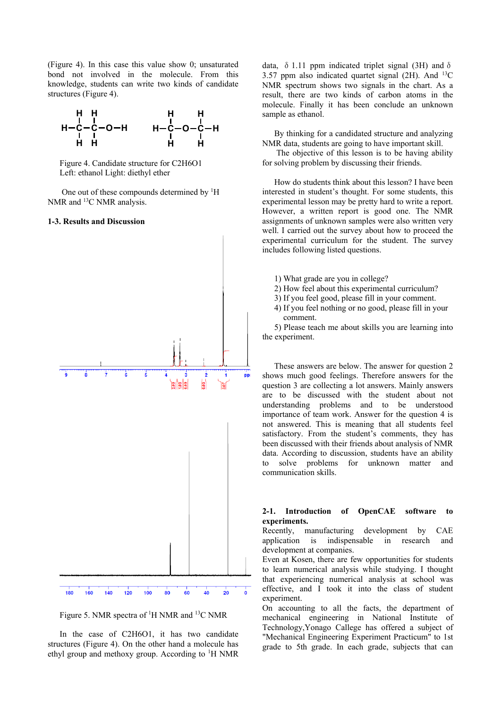(Figure 4). In this case this value show 0; unsaturated bond not involved in the molecule. From this knowledge, students can write two kinds of candidate structures (Figure 4).



Figure 4. Candidate structure for C2H6O1 Left: ethanol Light: diethyl ether

One out of these compounds determined by <sup>1</sup>H NMR and <sup>13</sup>C NMR analysis.

### **1-3. Results and Discussion**



Figure 5. NMR spectra of <sup>1</sup>H NMR and <sup>13</sup>C NMR

In the case of C2H6O1, it has two candidate structures (Figure 4). On the other hand a molecule has ethyl group and methoxy group. According to <sup>1</sup>H NMR data,  $\delta$  1.11 ppm indicated triplet signal (3H) and  $\delta$ 3.57 ppm also indicated quartet signal  $(2H)$ . And  $^{13}C$ NMR spectrum shows two signals in the chart. As a result, there are two kinds of carbon atoms in the molecule. Finally it has been conclude an unknown sample as ethanol.

By thinking for a candidated structure and analyzing NMR data, students are going to have important skill.

 The objective of this lesson is to be having ability for solving problem by discussing their friends.

How do students think about this lesson? I have been interested in student's thought. For some students, this experimental lesson may be pretty hard to write a report. However, a written report is good one. The NMR assignments of unknown samples were also written very well. I carried out the survey about how to proceed the experimental curriculum for the student. The survey includes following listed questions.

1) What grade are you in college?

- 2) How feel about this experimental curriculum?
- 3) If you feel good, please fill in your comment.
- 4) If you feel nothing or no good, please fill in your comment.

5) Please teach me about skills you are learning into the experiment.

These answers are below. The answer for question 2 shows much good feelings. Therefore answers for the question 3 are collecting a lot answers. Mainly answers are to be discussed with the student about not understanding problems and to be understood importance of team work. Answer for the question 4 is not answered. This is meaning that all students feel satisfactory. From the student's comments, they has been discussed with their friends about analysis of NMR data. According to discussion, students have an ability to solve problems for unknown matter and communication skills.

# **2-1. Introduction of OpenCAE software to experiments.**

Recently, manufacturing development by CAE application is indispensable in research and development at companies.

Even at Kosen, there are few opportunities for students to learn numerical analysis while studying. I thought that experiencing numerical analysis at school was effective, and I took it into the class of student experiment.

On accounting to all the facts, the department of mechanical engineering in National Institute of Technology,Yonago Callege has offered a subject of "Mechanical Engineering Experiment Practicum" to 1st grade to 5th grade. In each grade, subjects that can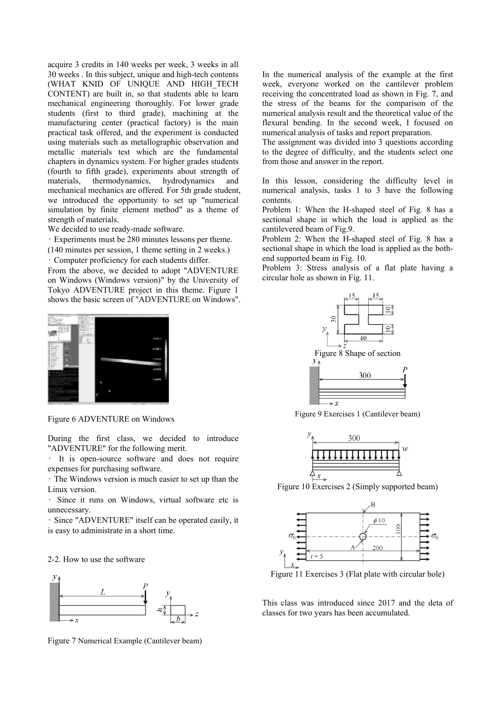acquire 3 credits in 140 weeks per week, 3 weeks in all 30 weeks . In this subject, unique and high-tech contents (WHAT KNID OF UNIQUE AND HIGH\_TECH CONTENT) are built in, so that students able to learn mechanical engineering thoroughly. For lower grade students (first to third grade), machining at the manufacturing center (practical factory) is the main practical task offered, and the experiment is conducted using materials such as metallographic observation and metallic materials test which are the fundamental chapters in dynamics system. For higher grades students (fourth to fifth grade), experiments about strength of materials, thermodynamics, hydrodynamics and mechanical mechanics are offered. For 5th grade student, we introduced the opportunity to set up "numerical simulation by finite element method" as a theme of strength of materials.

We decided to use ready-made software.

• Experiments must be 280 minutes lessons per theme.

(140 minutes per session, 1 theme setting in 2 weeks.)

• Computer proficiency for each students differ.

From the above, we decided to adopt "ADVENTURE on Windows (Windows version)" by the University of Tokyo ADVENTURE project in this theme. Figure 1 shows the basic screen of "ADVENTURE on Windows".



Figure 6 ADVENTURE on Windows

During the first class, we decided to introduce "ADVENTURE" for the following merit.

It is open-source software and does not require expenses for purchasing software.

• The Windows version is much easier to set up than the Linux version.

• Since it runs on Windows, virtual software etc is unnecessary.

• Since "ADVENTURE" itself can be operated easily, it is easy to administrate in a short time.

#### 2-2. How to use the software



Figure 7 Numerical Example (Cantilever beam)

In the numerical analysis of the example at the first week, everyone worked on the cantilever problem receiving the concentrated load as shown in Fig. 7, and the stress of the beams for the comparison of the numerical analysis result and the theoretical value of the flexural bending. In the second week, I focused on numerical analysis of tasks and report preparation.

The assignment was divided into 3 questions according to the degree of difficulty, and the students select one from those and answer in the report.

In this lesson, considering the difficulty level in numerical analysis, tasks 1 to 3 have the following contents.

Problem 1: When the H-shaped steel of Fig. 8 has a sectional shape in which the load is applied as the cantilevered beam of Fig.9.

Problem 2: When the H-shaped steel of Fig. 8 has a sectional shape in which the load is applied as the bothend supported beam in Fig. 10.

Problem 3: Stress analysis of a flat plate having a circular hole as shown in Fig. 11.



Figure 9 Exercises 1 (Cantilever beam)



Figure 10 Exercises 2 (Simply supported beam)



Figure 11 Exercises 3 (Flat plate with circular hole)

This class was introduced since 2017 and the deta of classes for two years has been accumulated.